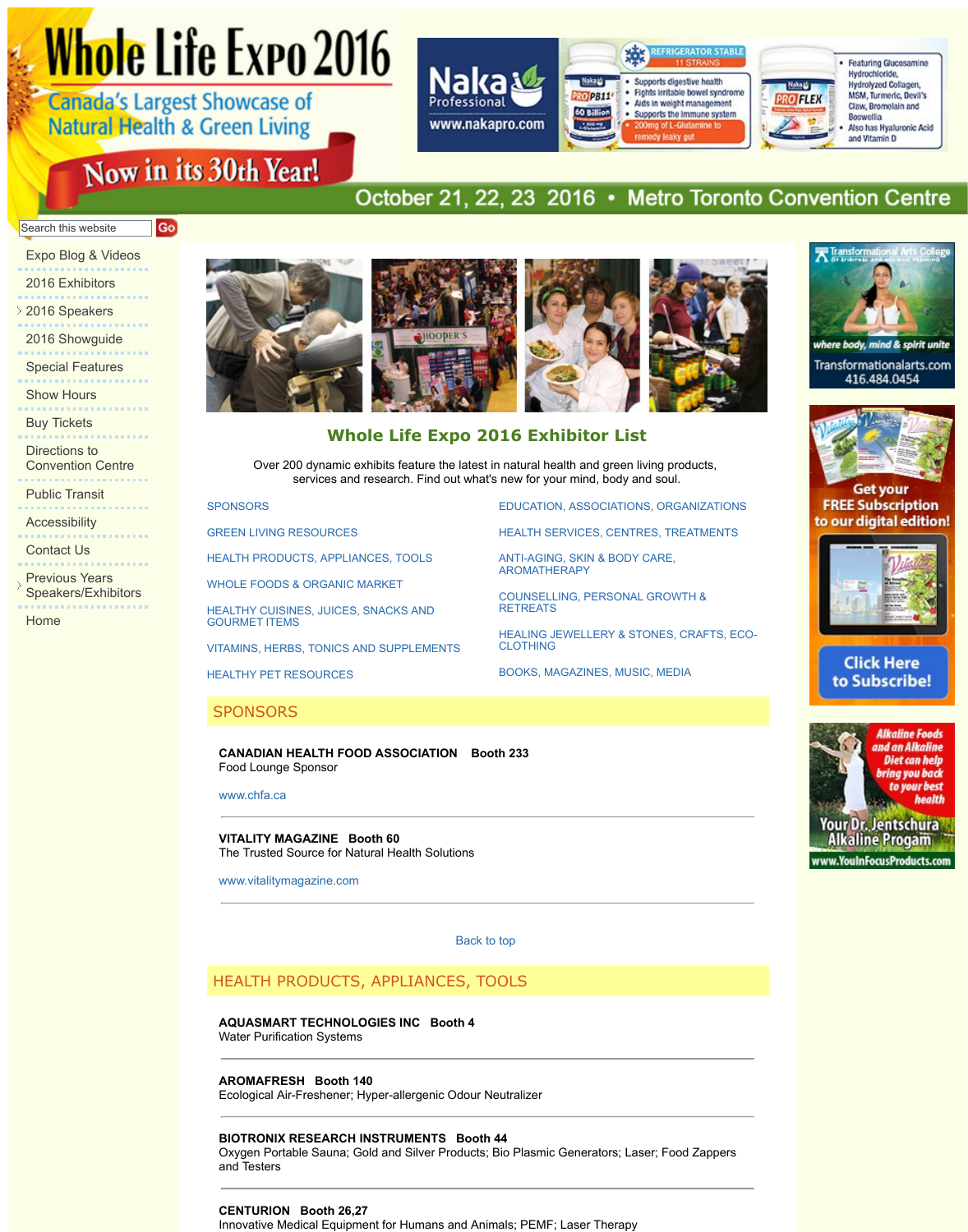Directions to Convention Centre

Public Transit

Accessibility . . . . . . . . . . . . . .

Contact Us

Previous Years Speakers/Exhibitors

. . . . . . . . . . . . . . . . .

Home

# **Whole Life Expo 2016 Exhibitor List**

**EDUCATION, ASSOCI** 

HEALTH SERVICES, C

ANTI-AGING, SKIN & B AROMATHERAPY

COUNSELLING, PERS

**HEALING JEWELLERY** 

BOOKS, MAGAZINES,

**RETREATS** 

CLOTHING

Over 200 dynamic exhibits feature the latest in natural health and green services and research. Find out what's new for your mind, bot

**SPONSORS** 

GREEN LIVING RESOURCES

HEALTH PRODUCTS, APPLIANCES, TOOLS

WHOLE FOODS & ORGANIC MARKET

HEALTHY CUISINES, JUICES, SNACKS AND GOURMET ITEMS

VITAMINS, HERBS, TONICS AND SUPPLEMENTS

HEALTHY PET RESOURCES

# **SPONSORS**

**CANADIAN HEALTH FOOD ASSOCIATION Booth 233** Food Lounge Sponsor

www.chfa.ca

**VITALITY MAGAZINE Booth 60** The Trusted Source for Natural Health Solutions

www.vitalitymagazine.com

Back to [top](http://wholelifeexpo.ca/exhibitors.php#17) 

# [HEALTH PRODUCTS](http://wholelifeexpo.ca/exhibitors.php#24), APPLIANCES, TO[OLS](http://wholelifeexpo.ca/exhibitors.php#18)

**[AQUASMART TECHNOLOGIES IN](http://wholelifeexpo.ca/exhibitors.php#12)C Booth 4**

Water Purification Systems

**AROMAFRESH Booth 140**

[Ecological Air-Freshener; Hyper-allergenic Od](http://wholelifeexpo.ca/exhibitors.php#14)our N[eutralizer](http://wholelifeexpo.ca/exhibitors.php#21) 

# **BIOTRONIX RESEARCH INSTRUMENTS Booth 44**

Oxygen Portable Sauna; Gold and Silver Products; Bio Plasmic Generator and Testers

# **CENTURION Booth 26,27**

[Innovative M](http://www.chfa.ca/)edical Equipment for Humans and Animals; PEMF; Laser The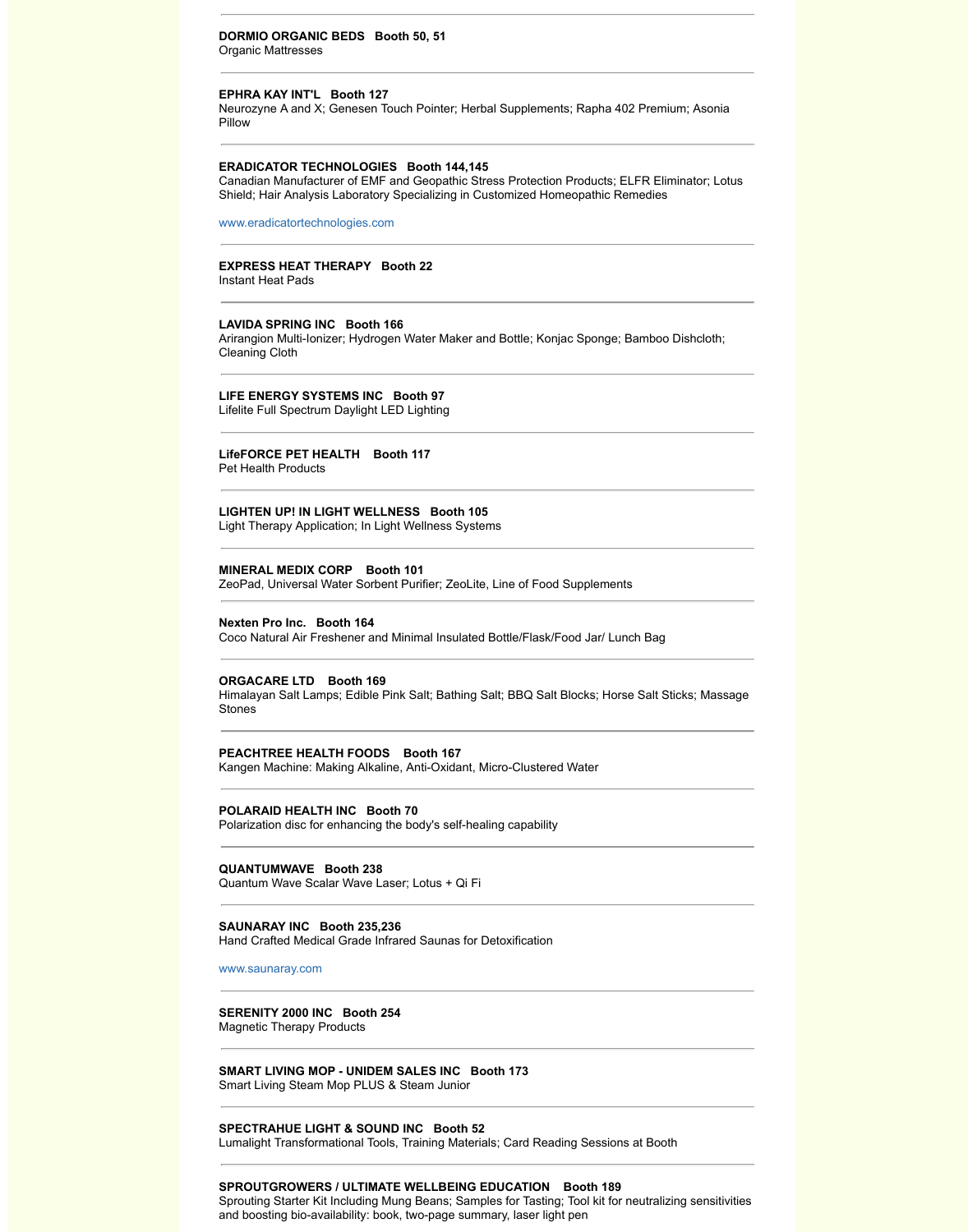# **LifeFORCE PET HEALTH Booth 117**

Pet Health Products

# **LIGHTEN UP! IN LIGHT WELLNESS Booth 105**

Light Therapy Application; In Light Wellness Systems

#### **MINERAL MEDIX CORP Booth 101**

ZeoPad, Universal Water Sorbent Purifier; ZeoLite, Line of Food Suppleme

# **Nexten Pro Inc. Booth 164**

Coco Natural Air Freshener and Minimal Insulated Bottle/Flask/Food Jar/ L

### **ORGACARE LTD Booth 169**

Himalayan Salt Lamps; Edible Pink Salt; Bathing Salt; BBQ Salt Blocks; H **Stones** 

# **PEACHTREE HEALTH FOODS Booth 167**

Kangen Machine: Making Alkaline, Anti-Oxidant, Micro-Clustered Water

## **POLARAID HEALTH INC Booth 70**

Polarization disc for enhancing the body's self-healing capability

# **QUANTUMWAVE Booth 238**

Quantum Wave Scalar Wave Laser; Lotus + Qi Fi

#### **SAUNARAY INC Booth 235,236**

Hand Crafted Medical Grade Infrared Saunas for Detoxification

#### www.saunaray.com

# **SERENITY 2000 INC Booth 254**

Magnetic Therapy Products

### **SMART LIVING MOP - UNIDEM SALES INC Booth 173** Smart Living Steam Mop PLUS & Steam Junior

# **SPECTRAHUE LIGHT & SOUND INC Booth 52**

Lumalight Transformational Tools, Training Materials; Card Reading Sessi

# **SPROUTGROWERS / ULTIMATE WELLBEING EDUCATION Booth 189**

Sprouting Starter Kit Including Mung Beans; Samples for Tasting; Tool kit f and boosting bio-availability: book, two-page summary, laser light pen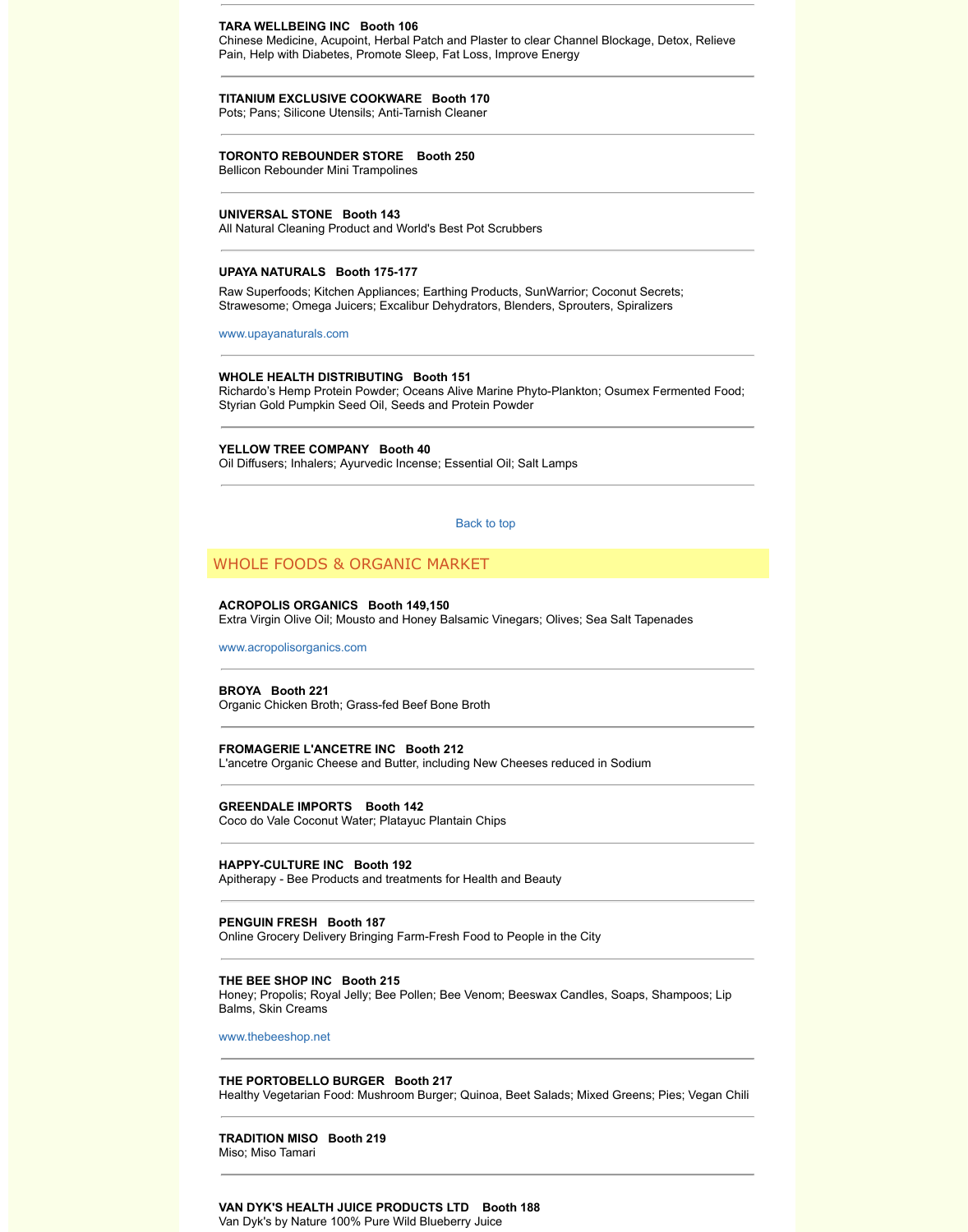## **YELLOW TREE COMPANY Booth 40** Oil Diffusers; Inhalers; Ayurvedic Incense; Essential Oil; Salt Lamps

Back to top

# WHOLE FOODS & ORGANIC MARKET

# **ACROPOLIS ORGANICS Booth 149,150** Extra Virgin Olive Oil; Mousto and Honey Balsamic Vinegars; Olives; Sea

www.acropolisorganics.com

**BROYA Booth 221** Organic Chicken Broth; Grass-fed Beef Bone Broth

**FROMAGERIE L'ANCETRE INC Booth 212** [L](http://www.upayanaturals.com/)'[ancetre Organic Chees](http://www.upayanaturals.com/)e and Butter, including New Cheeses reduced in

**GREENDALE IMPORTS Booth 142**

Coco do Vale Coconut Water; Platayuc Plantain Chips

# **HAPPY-CULTURE INC Booth 192**

Apitherapy - Bee Products and treatments for Health and Beauty

### **PENGUIN FRESH Booth 187**

Online Grocery Delivery Bringing Farm-Fresh Food to People in the City

## **THE BEE SHOP INC Booth 215**

Honey; Propolis; Royal Jelly; Bee Pollen; Bee Venom; Beeswax Candles, Balms, Skin Creams

www.thebeeshop.net

# **[THE PORTOBELLO BURG](http://www.acropolisorganics.com/)ER Booth 217**

Healthy Vegetarian Food: Mushroom Burger; Quinoa, Beet Salads; Mixed

**TRADITION MISO Booth 219** Miso; Miso Tamari

**VAN DYK'S HEALTH JUICE PRODUCTS LTD Booth 188**  Van Dyk's by Nature 100% Pure Wild Blueberry Juice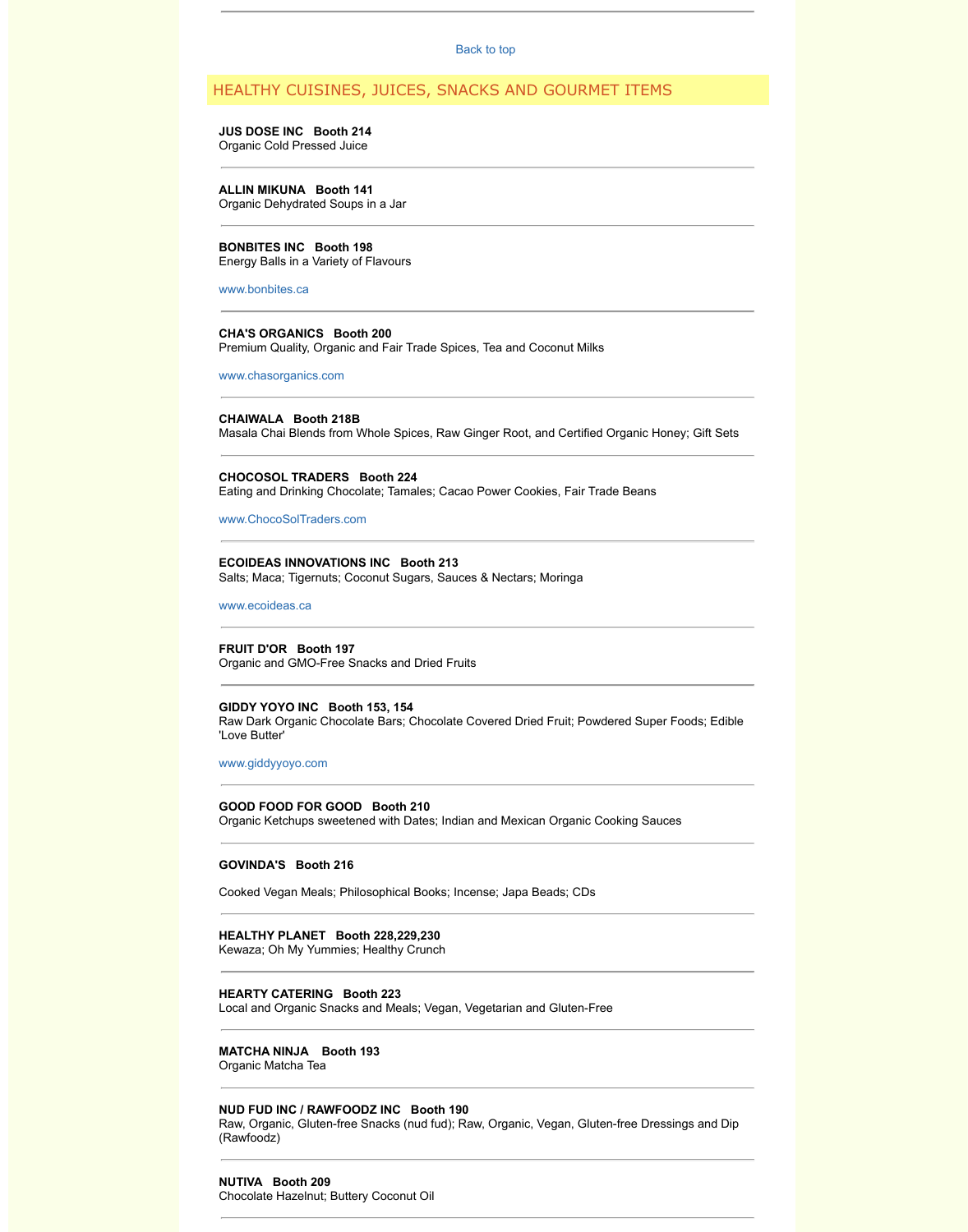## **CHOCOSOL TRADERS Booth 224**

Eating and Drinking Chocolate; Tamales; Ca[cao Power C](http://wholelifeexpo.ca/exhibitors.php#top)ookies, Fair Trad

# www.ChocoSolTraders.com

# **ECOIDEAS INNOVATIONS INC Booth 213**

Salts; Maca; Tigernuts; Coconut Sugars, Sauces & Nectars; Moringa

www.ecoideas.ca

### **FRUIT D'OR Booth 197**

Organic and GMO-Free Snacks and Dried Fruits

#### **GIDDY YOYO INC Booth 153, 154**

Raw Dark Organic Chocolate Bars; Chocolate Covered Dried Fruit; Powde ['Love Butter'](http://www.bonbites.ca/) 

#### www.giddyyoyo.com

#### **GOOD FOOD FOR GOOD Booth 210**

[Organic Ketchups swee](http://www.chasorganics.com/)tened with Dates; Indian and Mexican Organic Cooking

# **GOVINDA'S Booth 216**

Cooked Vegan Meals; Philosophical Books; Incense; Japa Beads; CDs

# **HEALTHY PLANET Booth 228,229,230**

[Kewaza; Oh My Yummies; H](http://www.chocosoltraders.com/)ealthy Crunch

# **HEARTY CATERING Booth 223**

Local and Organic Snacks and Meals; Vegan, Vegetarian and Gluten-Free

# **[MATCHA NINJA](http://www.ecoideas.ca/) Booth 193**

Organic Matcha Tea

# **NUD FUD INC / RAWFOODZ INC Booth 190**

Raw, Organic, Gluten-free Snacks (nud fud); Raw, Organic, Vegan, Gluten-(Rawfoodz)

# **NUTIVA Booth 209**

[Chocolate Hazelnut;](http://www.giddyyoyo.com/) Buttery Coconut Oil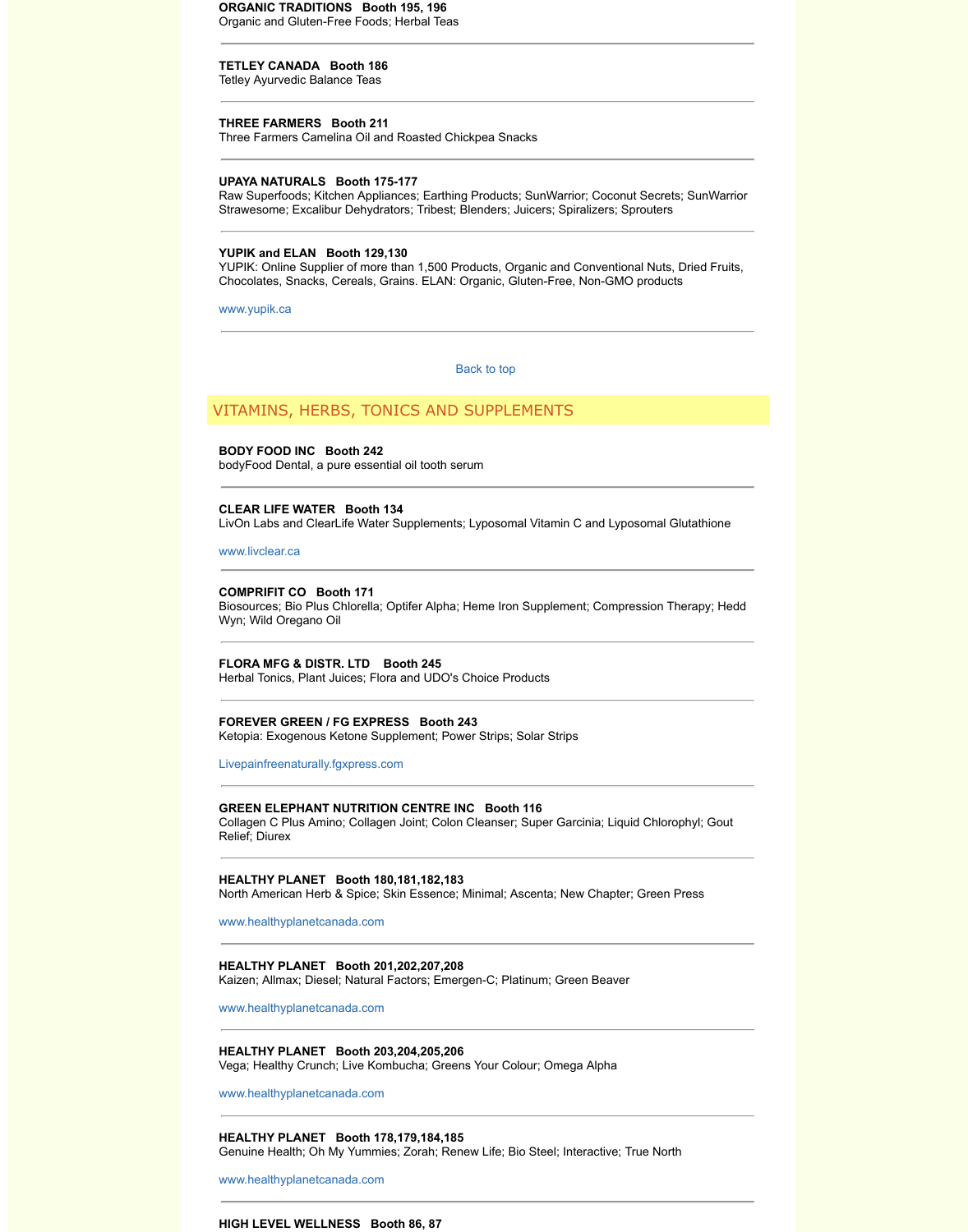# **BODY FOOD INC Booth 242**

bodyFood Dental, a pure essential oil tooth serum

### **CLEAR LIFE WATER Booth 134**

LivOn Labs and ClearLife Water Supplements; Lyposomal Vitamin C and I

www.livclear.ca

#### **COMPRIFIT CO Booth 171**

Biosources; Bio Plus Chlorella; Optifer Alpha; Heme Iron Supplement; Cor Wyn; Wild Oregano Oil

### **FLORA MFG & DISTR. LTD Booth 245**

Herbal Tonics, Plant Juices; Flora and UDO's Choice Products

# **FOREVER GREEN / FG EXPRESS Booth 243**

Ketopia: Exogenous Ketone Supplement; Power Strips; Solar Strips

Livepainfreenaturally.fgxpress.com

#### **GREEN ELEPHANT NUTRITION CENTRE [INC Booth](http://wholelifeexpo.ca/exhibitors.php#top) 116**

Collagen C Plus Amino; Collagen Joint; Colon Cleanser; Super Garcinia; L Relief; Diurex

# **HEALTHY PLANET Booth 180,181,182,183**

North American Herb & Spice; Skin Essence; Minimal; Ascenta; New Chapter; Green Press, Green Press, Green Press, G

www.healthyplanetcanada.com

# **HEALTHY PLANET Booth 201,202,207,208**

[Kaizen; Allmax;](http://www.livclear.ca/) Diesel; Natural Factors; Emergen-C; Platinum; Green Bea

www.healthyplanetcanada.com

# **HEALTHY PLANET Booth 203,204,205,206**

Vega; Healthy Crunch; Live Kombucha; Greens Your Colour; Omega Alph

www.healthyplanetcanada.com

### **HEALTHY PLANET Booth 178,179,184,185**

Genuine Health; Oh My Yummies; Zorah; Renew Life; Bio Steel; Interactiv

www.healthyplanetcanada.com

### **HIGH LEVEL WELLNESS Booth 86, 87**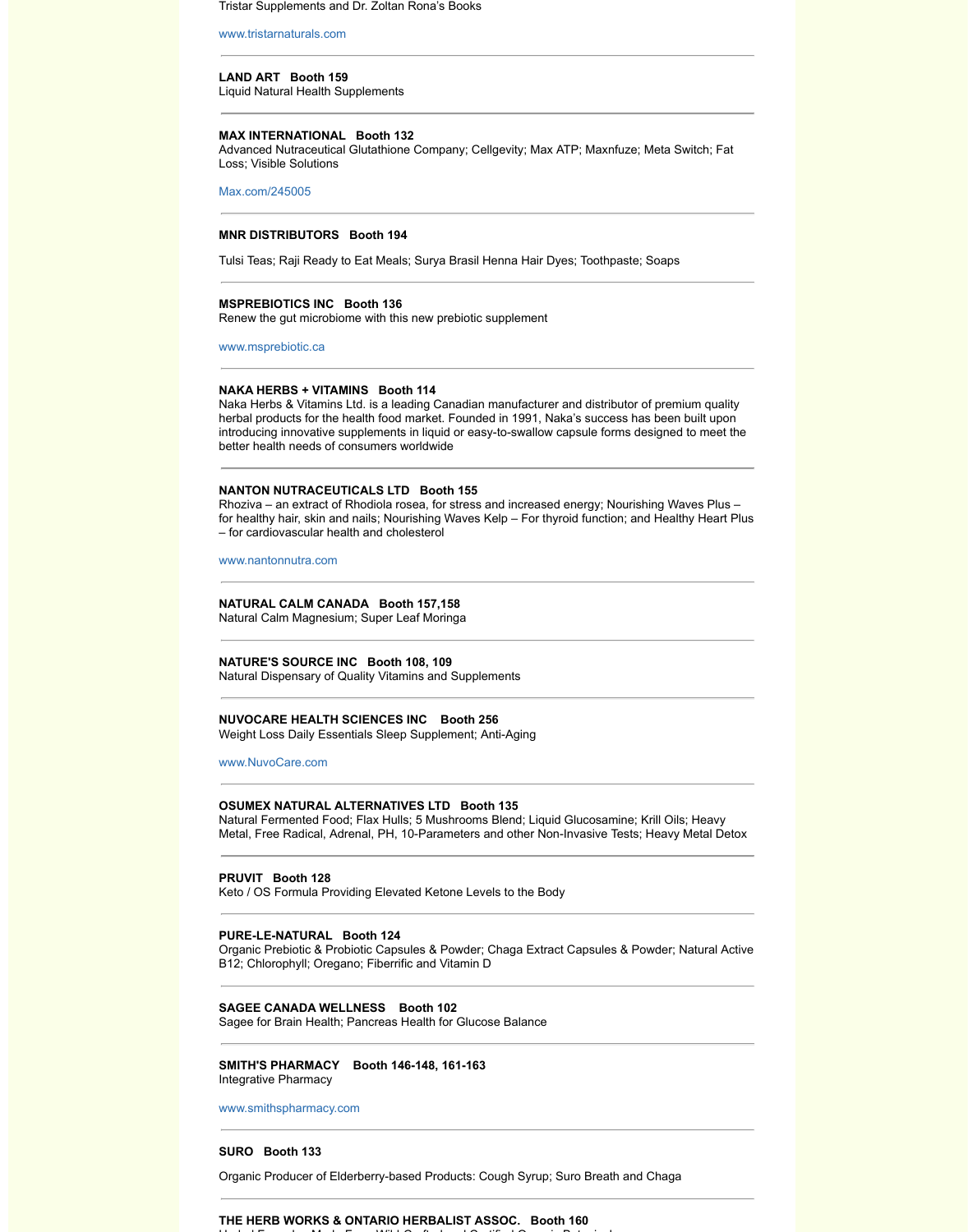better health needs of consumers worldwide

# **NANTON NUTRACEUTICALS LTD Booth 155**

Rhoziva – an extract of Rhodiola rosea, for stress and increased energy; Nourishing Plus 2011 for healthy hair, skin and nails; Nourishing Waves Kelp – For thyroid function; – for cardiovascular health and cholesterol

www.nantonnutra.com

## **NATURAL CALM CANADA Booth 157,158**

Natural Calm Magnesium; Super Leaf Moringa

## **NATURE'S SOURCE INC Booth 108, 109**

Natural Dispensary of Quality Vitamins and Supplements

# **NUVOCARE HEALTH SCIENCES INC Booth 256**

Weight Loss Daily Essentials Sleep Supplement; Anti-Aging

### www.NuvoCare.com

# **OSUMEX NATURAL ALTERNATIVES LTD Booth 135**

Natural Fermented Food; Flax Hulls; 5 Mushrooms Blend; Liquid Glucosar Metal, Free Radical, Adrenal, PH, 10-Parameters and other Non-Invasive

# **PRUVIT Booth 128**

Keto / OS Formula Providing Elevated Ketone Levels to the Body

# **PURE-LE-NATURAL Booth 124**

Organic Prebiotic & Probiotic Capsules & Powder; Chaga Extract Capsule B12; Chlorophyll; Oregano; Fiberrific and Vitamin D

#### **[SAGEE CANADA WE](http://www.nantonnutra.com/)LLNESS Booth 102**

Sagee for Brain Health; Pancreas Health for Glucose Balance

# **SMITH'S PHARMACY Booth 146-148, 161-163**

Integrative Pharmacy

www.smithspharmacy.com

### **SURO Booth 133**

Organic Producer of Elderberry-based Products: Cough Syrup; Suro Breat

# **THE HERB WORKS & ONTARIO HERBALIST ASSOC. Booth 160**  $\mathbf{H}$  Formulae Made From Wild-Crafted and Certified and Certified Organic Botanic Botanic Botanic Botanic Botanic Botanic Botanic Botanic Botanic Botanicals Botanicals Botanicals Botanicals Botanicals Botanicals Botani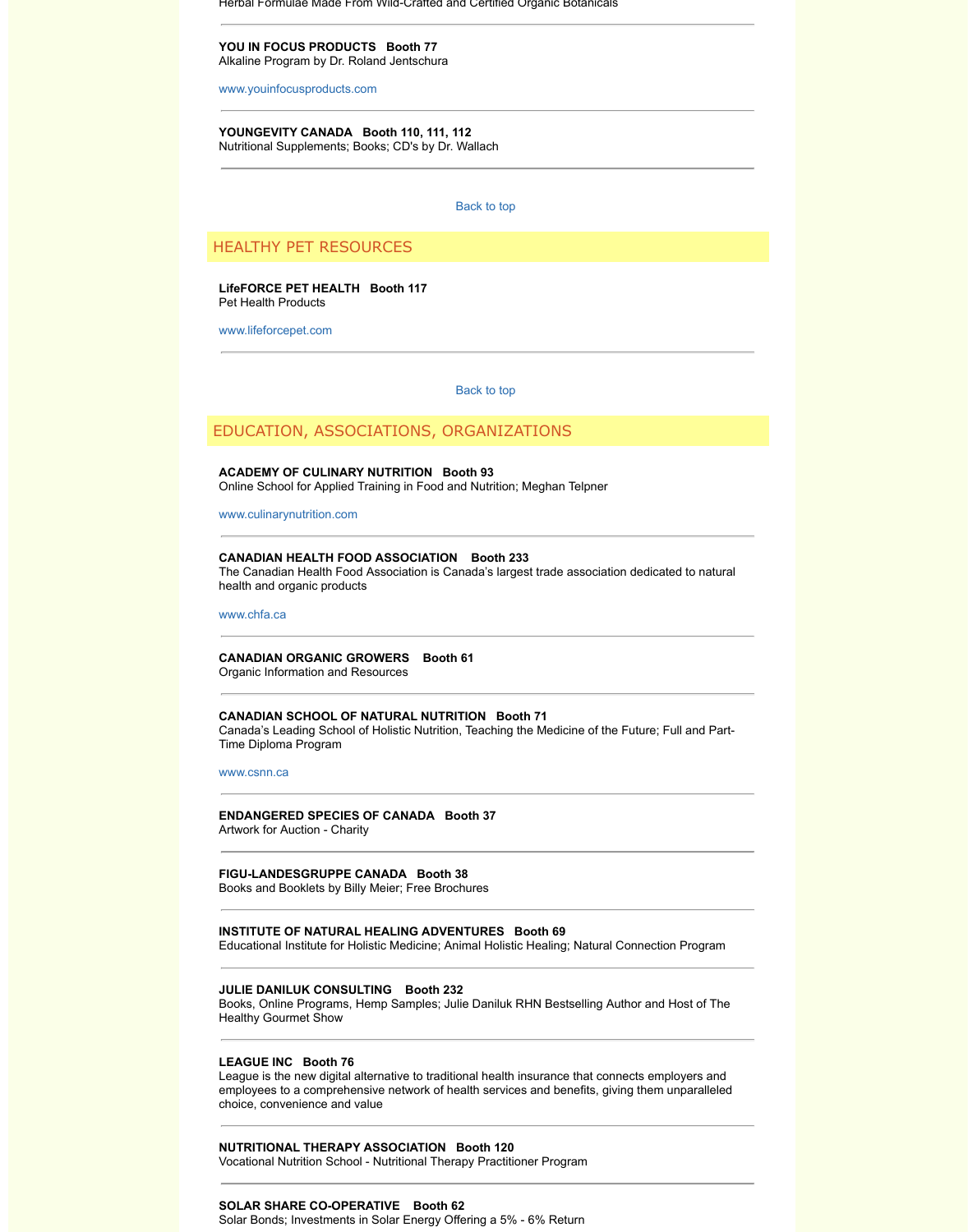# **ACADEMY OF CULINARY NUTRITION Booth 93**

Online School for Applied Training in Food and Nutrition; Meghan Telpner

#### www.culinarynutrition.com

## **CANADIAN HEALTH FOOD ASSOCIATION Booth 233**

The Canadian Health Food Association is Canada's largest trade associat health and organic products

www.chfa.ca

## **CANADIAN ORGANIC GROWERS Boot[h 61](http://wholelifeexpo.ca/exhibitors.php#top)**

Organic Information and Resources

## **CANADIAN SCHOOL OF NATURAL NUTRITION Booth 71**

Canada's Leading School of Holistic Nutrition, Teaching the Medicine of the Time Diploma Program

#### [www.csnn.ca](http://www.lifeforcepet.com/)

# **ENDANGERED SPECIES OF CANADA Booth 37**

Artwork for Auction - Charity

#### **FIGU-LANDESGRUPPE CANADA Booth 38**

Books and Booklets by Billy Meier; Free Brochures

# **INSTITUTE OF NATURAL HEALING ADVENTURES Booth 69**

[Educational Institute for Ho](http://www.culinarynutrition.com/)listic Medicine; Animal Holistic Healing; Natural

### **JULIE DANILUK CONSULTING Booth 232**

Books, Online Programs, Hemp Samples; Julie Daniluk RHN Bestselling A Healthy Gourmet Show

# **[LEAGUE INC](http://www.chfa.ca/) Booth 76**

League is the new digital alternative to traditional health insurance that connect employees to a comprehensive network of health services and benefits, gi choice, convenience and value

# **NUTRITIONAL THERAPY ASSOCIATION Booth 120**

Vocational Nutrition School - Nutritional Therapy Practitioner Program

# **[SOLAR SHAR](http://www.csnn.ca/)E CO-OPERATIVE Booth 62**

Solar Bonds; Investments in Solar Energy Offering a 5% - 6% Return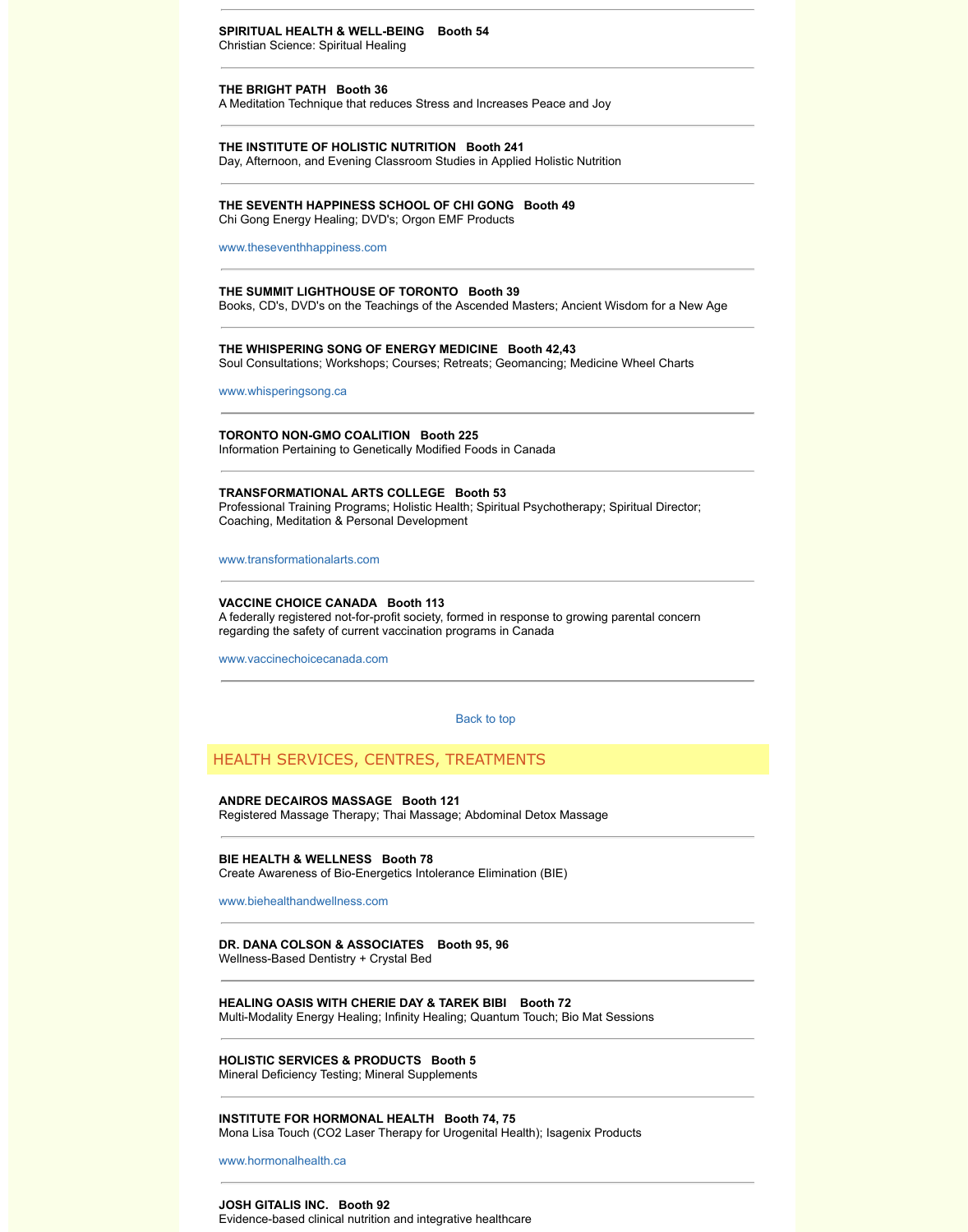Information Pertaining to Genetically Modified Foods in Canada

# **TRANSFORMATIONAL ARTS COLLEGE Booth 53**

Professional Training Programs; Holistic Health; Spiritual Psychotherapy; Spiritual Psychotherapy; Spiritual Director; Spiritual Director; Spiritual Director; Spiritual Director; Spiritual Director; Spiritual Director; Spi Coaching, Meditation & Personal Development

www.transformationalarts.com

# **VACCINE CHOICE CANADA Booth 113**

A federally registered not-for-profit society, formed in response to growing regarding the safety of current vaccination programs in Canada

www.vaccinechoicecanada.com

Back to top

# HEALTH SERVICES, CENTRES, TREATMENTS

# **ANDRE DECAIROS MASSAGE Booth 121**

Registered Massage Therapy; Thai Massage; Abdominal Detox Massage

**BIE HEALTH & WELLNESS Booth 78** Create Awareness of Bio-Energetics Intolerance Elimination (BIE)

www.biehealthandwellness.com

**DR. DANA COLSON & ASSOCIATES Booth 95, 96** Wellness-Based Dentistry + Crystal Bed

**[HEALING OASIS WITH CHER](http://www.transformationalarts.com/)IE DAY & TAREK BIBI Booth 72** Multi-Modality Energy Healing; Infinity Healing; Quantum Touch; Bio Mat S

**HOLISTIC SERVICES & PRODUCTS Booth 5** Mineral Deficiency Testing; Mineral Supplements

**INSTITUTE FOR HORMONAL HEALTH Booth 74, 75** Mona Lisa Touch (CO2 Laser Therapy for Urogenital Health); Isagenix Pro

www.hormonalhealth.ca

**JOSH GITALIS INC. Booth 92** Evidence-based clinical nutrition and integrative healthcare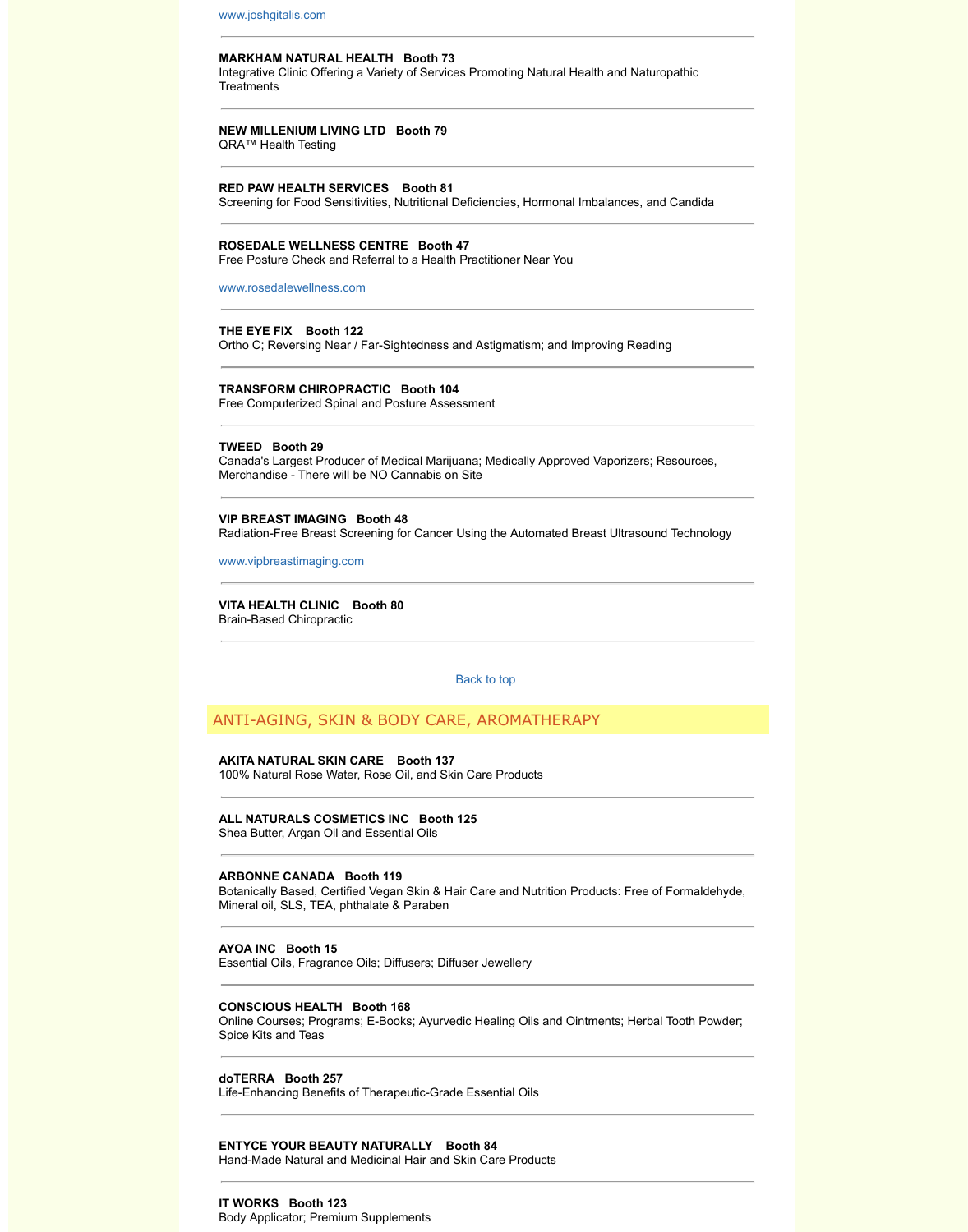# **TWEED Booth 29**

[Canada's Largest Pr](http://www.joshgitalis.com/)oducer of Medical Marijuana; Medically Approved Vap Merchandise - There will be NO Cannabis on Site

# **VIP BREAST IMAGING Booth 48**

Radiation-Free Breast Screening for Cancer Using the Automated Breast I

www.vipbreastimaging.com

**VITA HEALTH CLINIC Booth 80** Brain-Based Chiropractic

Back to top

# [ANTI-AGING, SKIN &](http://www.rosedalewellness.com/) BODY CARE, AROMATHERAPY

# **AKITA NATURAL SKIN CARE Booth 137** 100% Natural Rose Water, Rose Oil, and Skin Care Products

**ALL NATURALS COSMETICS INC Booth 125**

Shea Butter, Argan Oil and Essential Oils

# **ARBONNE CANADA Booth 119**

Botanically Based, Certified Vegan Skin & Hair Care and Nutrition Product Mineral oil, SLS, TEA, phthalate & Paraben

#### **AYOA INC Booth 15**

Essential Oils, Fragrance Oils; Diffusers; Diffuser Jewellery

## **[CONSCIOUS HEALTH Bo](http://www.vipbreastimaging.com/)oth 168**

Online Courses; Programs; E-Books; Ayurvedic Healing Oils and Ointmen Spice Kits and Teas

# **doTERRA Booth 257**

Life-Enhancing Benefits of Therapeutic-Grade Essential Oils

# **ENTYCE YOUR BEAUTY NATURALLY Booth 84**

Hand-Made Natural and Medicinal Hair and Skin Care Products

#### **IT WORKS Booth 123**

Body Applicator; Premium Supplements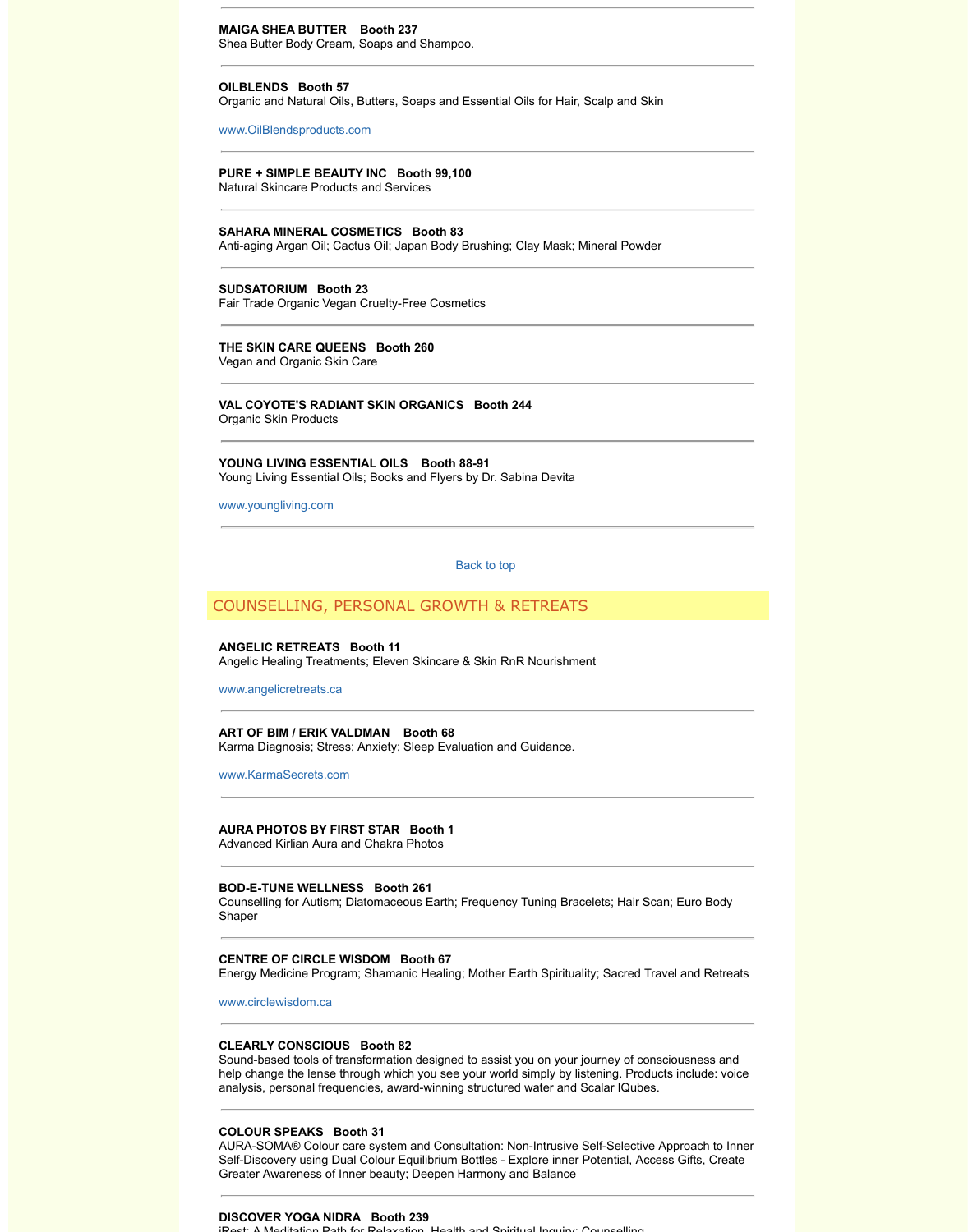# **YOUNG LIVING ESSENTIAL OILS Booth 88-91**

Young Living Essential Oils; Books and Flyers by Dr. Sabina Devita

www.youngliving.com

Back to top

# COUNSELLING, PERSONAL GROWTH & RETREATS

# **ANGELIC RETREATS Booth 11**

Angelic Healing Treatments; Eleven Skincare & Skin RnR Nourishment

www.angelicretreats.ca

**ART OF BIM / ERIK VALDMAN Booth 68** Karma Diagnosis; Stress; Anxiety; Sleep Evaluation and Guidance.

www.KarmaSecrets.com

# **AURA PHOTOS BY FIRST STAR Booth 1**

Advanced Kirlian Aura and Chakra Photos

# **BOD-E-TUNE WELLNESS Booth 261**

Counselling for Autism; Diatomaceous Earth; Frequency Tuning Bracelets Shaper

### **CENTRE OF CIRCLE WISDOM Booth 67**

Energy Medicine Program; Shamanic Healing; Mother Earth Spirituality; S

www.circlewisdom.ca

# **CLEARLY CONSCIOUS Booth 82**

Sound-based tools of transformation designed to assist you on your journe help change the lense through which you see your world simply by listenin analysis, personal frequencies, award-winning structured water and Scala

# **[COLOUR SPEAKS Bo](http://www.angelicretreats.ca/)oth 31**

AURA-SOMA® Colour care system and Consultation: Non-Intrusive Self-S Self-Discovery using Dual Colour Equilibrium Bottles - Explore inner Poter Greater Awareness of Inner beauty; Deepen Harmony and Balance

# **[DISCOVER YOGA NIDR](http://www.karmasecrets.com/)A Booth 239**

iRest: A Meditation Path for Relaxation, Health and Spiritual Inquiry; Counselling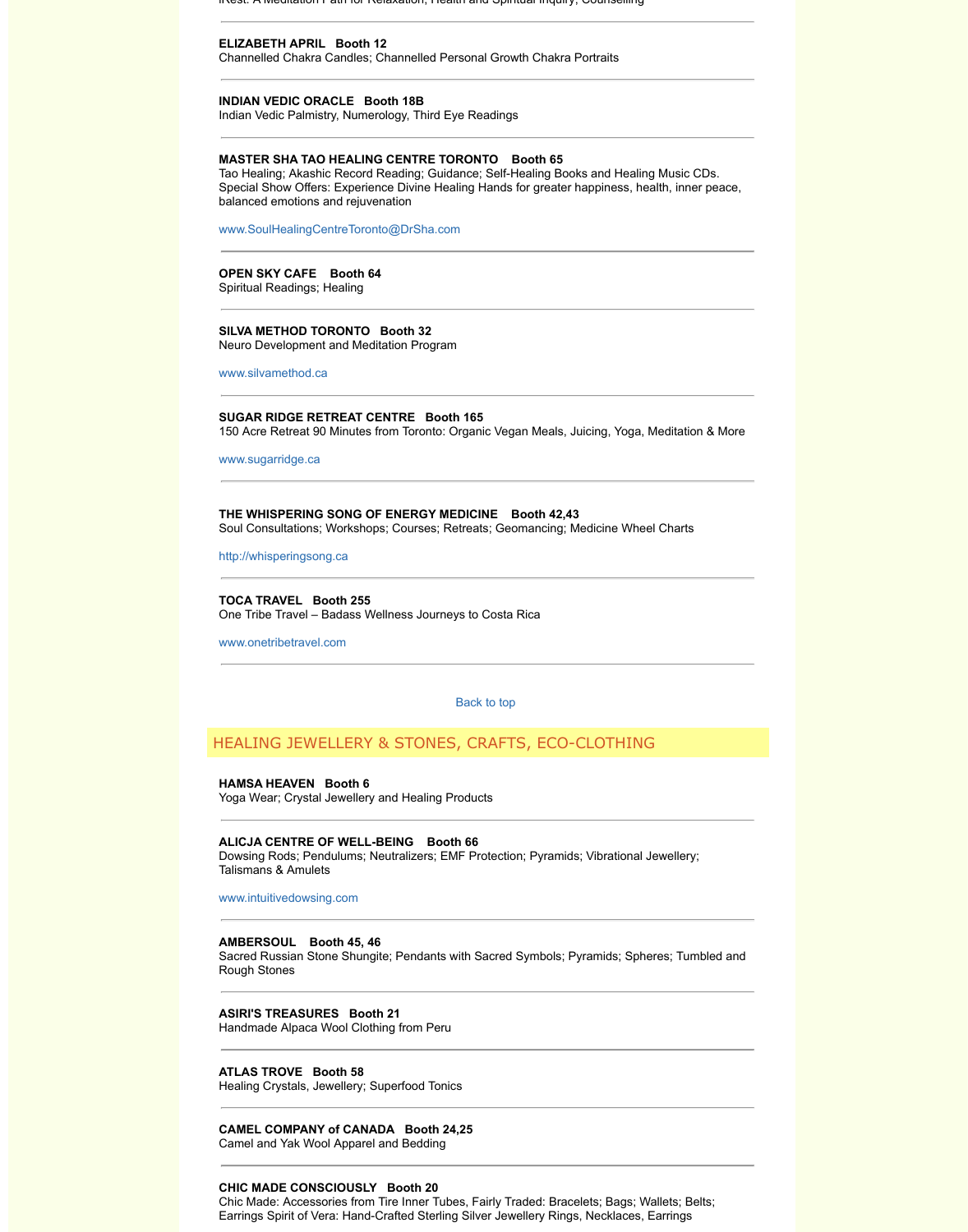**THE WHISPERING SONG OF ENERGY MEDICINE Booth 42,43** Soul Consultations; Workshops; Courses; Retreats; Geomancing; Medicin

http://whisperingsong.ca

**TOCA TRAVEL Booth 255** One Tribe Travel – Badass Wellness Journeys to Costa Rica

www.onetribetravel.com

Back to top

# HEALING JEWELLERY & STONES, CRAFTS, ECO-CLOT

**HAMSA HEAVEN Booth 6** Yoga Wear; Crystal Jewellery and Healing Products

### **ALICJA CENTRE OF WELL-BEING Booth 66**

Dowsing Rods; Pendulums; Neutralizers; EMF Protection; Pyramids; Vibrational Australian Jewellery; C Talismans & Amulets

### [www.intuitivedowsin](http://www.sugarridge.ca/)g.com

## **AMBERSOUL Booth 45, 46**

Sacred Russian Stone Shungite; Pendants with Sacred Symbols; Pyramid Rough Stones

# **ASIRI'S TREASURES Booth 21**

Handmade Alpaca Wool Clothing from Peru

#### **ATLAS TROVE Booth 58**

[Healing Crystals, Jewelle](http://www.onetribetravel.com/)ry; Superfood Tonics

## **CAMEL COMPANY of CANADA Booth 2[4,25](http://wholelifeexpo.ca/exhibitors.php#top)**

Camel and Yak Wool Apparel and Bedding

# **CHIC MADE CONSCIOUSLY Booth 20**

Chic Made: Accessories from Tire Inner Tubes, Fairly Traded: Bracelets; B Earrings Spirit of Vera: Hand-Crafted Sterling Silver Jewellery Rings, Neck